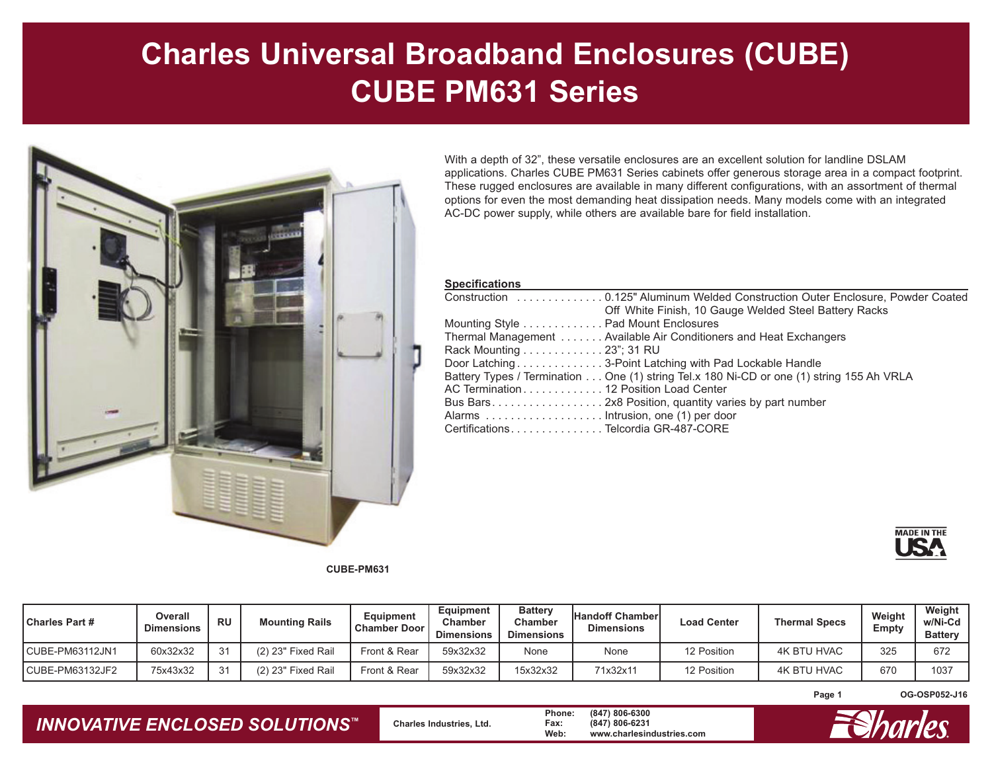## **Charles Universal Broadband Enclosures (CUBE) CUBE PM631 Series**



With a depth of 32", these versatile enclosures are an excellent solution for landline DSLAM  applications. Charles CUBE PM631 Series cabinets offer generous storage area in a compact footprint. These rugged enclosures are available in many different configurations, with an assortment of thermal options for even the most demanding heat dissipation needs. Many models come with an integrated AC-DC power supply, while others are available bare for field installation.

| <b>Specifications</b>                                                                    |
|------------------------------------------------------------------------------------------|
| Construction 0.125" Aluminum Welded Construction Outer Enclosure, Powder Coated          |
| Off White Finish, 10 Gauge Welded Steel Battery Racks                                    |
| Mounting Style Pad Mount Enclosures                                                      |
| Thermal Management Available Air Conditioners and Heat Exchangers                        |
| Rack Mounting 23"; 31 RU                                                                 |
| Door Latching 3-Point Latching with Pad Lockable Handle                                  |
| Battery Types / Termination One (1) string Tel.x 180 Ni-CD or one (1) string 155 Ah VRLA |
| AC Termination 12 Position Load Center                                                   |
|                                                                                          |
|                                                                                          |
| CertificationsTelcordia GR-487-CORE                                                      |



**CUBE-PM631**

| <b>Charles Part #</b> | Overall<br><b>Dimensions</b> | <b>RU</b> | <b>Mounting Rails</b> | Equipment<br><b>Chamber Door</b> | Equipment<br>Chamber<br><b>Dimensions</b> | <b>Battery</b><br>Chamber<br><b>Dimensions</b> | <b>Handoff Chamber</b><br><b>Dimensions</b> | <b>Load Center</b> | <b>Thermal Specs</b> | Weight<br>Empty | Weight<br>w/Ni-Cd<br><b>Battery</b> |
|-----------------------|------------------------------|-----------|-----------------------|----------------------------------|-------------------------------------------|------------------------------------------------|---------------------------------------------|--------------------|----------------------|-----------------|-------------------------------------|
| CUBE-PM63112JN1       | 60x32x32                     |           | (2) 23" Fixed Rail    | Front & Rear                     | 59x32x32                                  | None                                           | None                                        | 12 Position        | <b>4K BTU HVAC</b>   | 325             | 672                                 |
| CUBE-PM63132JF2       | 75x43x32                     |           | (2) 23" Fixed Rail    | Front & Rear                     | 59x32x32                                  | 15x32x32                                       | 71x32x11                                    | 12 Position        | <b>4K BTU HVAC</b>   | 670             | 1037                                |

**Page 1 OG-OSP052-J16**

*INNOVATIVE ENCLOSED SOLUTIONS ™*

 **Charles Industries, Ltd. Phone: (847) 806-6300 Fax: (847) 806-6231 Web: www.charlesindustries.com**